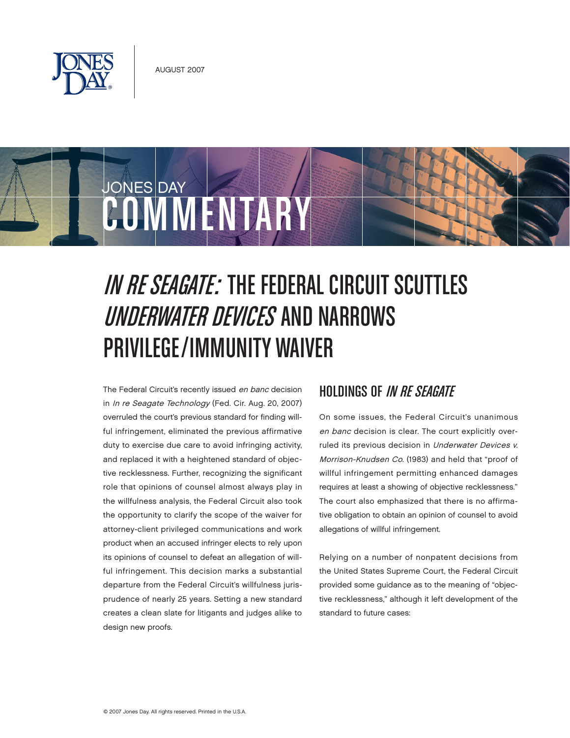



# IN RE SEAGATE: THE FEDERAL CIRCUIT SCUTTLES UNDERWATER DEVICES AND NARROWS Privilege/Immunity Waiver

The Federal Circuit's recently issued en banc decision in In re Seagate Technology (Fed. Cir. Aug. 20, 2007) overruled the court's previous standard for finding willful infringement, eliminated the previous affirmative duty to exercise due care to avoid infringing activity, and replaced it with a heightened standard of objective recklessness. Further, recognizing the significant role that opinions of counsel almost always play in the willfulness analysis, the Federal Circuit also took the opportunity to clarify the scope of the waiver for attorney-client privileged communications and work product when an accused infringer elects to rely upon its opinions of counsel to defeat an allegation of willful infringement. This decision marks a substantial departure from the Federal Circuit's willfulness jurisprudence of nearly 25 years. Setting a new standard creates a clean slate for litigants and judges alike to design new proofs.

## **HOLDINGS OF IN RE SEAGATE**

On some issues, the Federal Circuit's unanimous en banc decision is clear. The court explicitly overruled its previous decision in Underwater Devices v. Morrison-Knudsen Co. (1983) and held that "proof of willful infringement permitting enhanced damages requires at least a showing of objective recklessness." The court also emphasized that there is no affirmative obligation to obtain an opinion of counsel to avoid allegations of willful infringement.

Relying on a number of nonpatent decisions from the United States Supreme Court, the Federal Circuit provided some guidance as to the meaning of "objective recklessness," although it left development of the standard to future cases: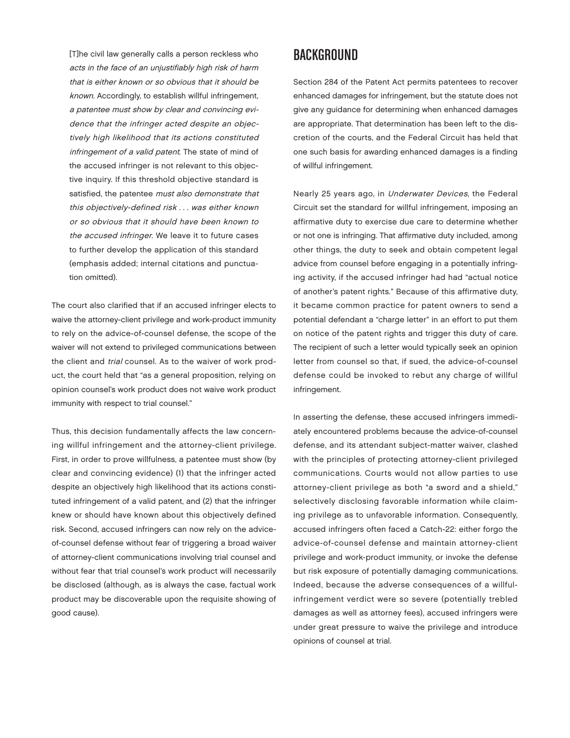[T]he civil law generally calls a person reckless who acts in the face of an unjustifiably high risk of harm that is either known or so obvious that it should be known. Accordingly, to establish willful infringement, a patentee must show by clear and convincing evidence that the infringer acted despite an objectively high likelihood that its actions constituted infringement of a valid patent. The state of mind of the accused infringer is not relevant to this objective inquiry. If this threshold objective standard is satisfied, the patentee must also demonstrate that this objectively-defined risk . . . was either known or so obvious that it should have been known to the accused infringer. We leave it to future cases to further develop the application of this standard (emphasis added; internal citations and punctuation omitted).

The court also clarified that if an accused infringer elects to waive the attorney-client privilege and work-product immunity to rely on the advice-of-counsel defense, the scope of the waiver will not extend to privileged communications between the client and trial counsel. As to the waiver of work product, the court held that "as a general proposition, relying on opinion counsel's work product does not waive work product immunity with respect to trial counsel."

Thus, this decision fundamentally affects the law concerning willful infringement and the attorney-client privilege. First, in order to prove willfulness, a patentee must show (by clear and convincing evidence) (1) that the infringer acted despite an objectively high likelihood that its actions constituted infringement of a valid patent, and (2) that the infringer knew or should have known about this objectively defined risk. Second, accused infringers can now rely on the adviceof-counsel defense without fear of triggering a broad waiver of attorney-client communications involving trial counsel and without fear that trial counsel's work product will necessarily be disclosed (although, as is always the case, factual work product may be discoverable upon the requisite showing of good cause).

## Background

Section 284 of the Patent Act permits patentees to recover enhanced damages for infringement, but the statute does not give any guidance for determining when enhanced damages are appropriate. That determination has been left to the discretion of the courts, and the Federal Circuit has held that one such basis for awarding enhanced damages is a finding of willful infringement.

Nearly 25 years ago, in Underwater Devices, the Federal Circuit set the standard for willful infringement, imposing an affirmative duty to exercise due care to determine whether or not one is infringing. That affirmative duty included, among other things, the duty to seek and obtain competent legal advice from counsel before engaging in a potentially infringing activity, if the accused infringer had had "actual notice of another's patent rights." Because of this affirmative duty, it became common practice for patent owners to send a potential defendant a "charge letter" in an effort to put them on notice of the patent rights and trigger this duty of care. The recipient of such a letter would typically seek an opinion letter from counsel so that, if sued, the advice-of-counsel defense could be invoked to rebut any charge of willful infringement.

In asserting the defense, these accused infringers immediately encountered problems because the advice-of-counsel defense, and its attendant subject-matter waiver, clashed with the principles of protecting attorney-client privileged communications. Courts would not allow parties to use attorney-client privilege as both "a sword and a shield," selectively disclosing favorable information while claiming privilege as to unfavorable information. Consequently, accused infringers often faced a Catch-22: either forgo the advice-of-counsel defense and maintain attorney-client privilege and work-product immunity, or invoke the defense but risk exposure of potentially damaging communications. Indeed, because the adverse consequences of a willfulinfringement verdict were so severe (potentially trebled damages as well as attorney fees), accused infringers were under great pressure to waive the privilege and introduce opinions of counsel at trial.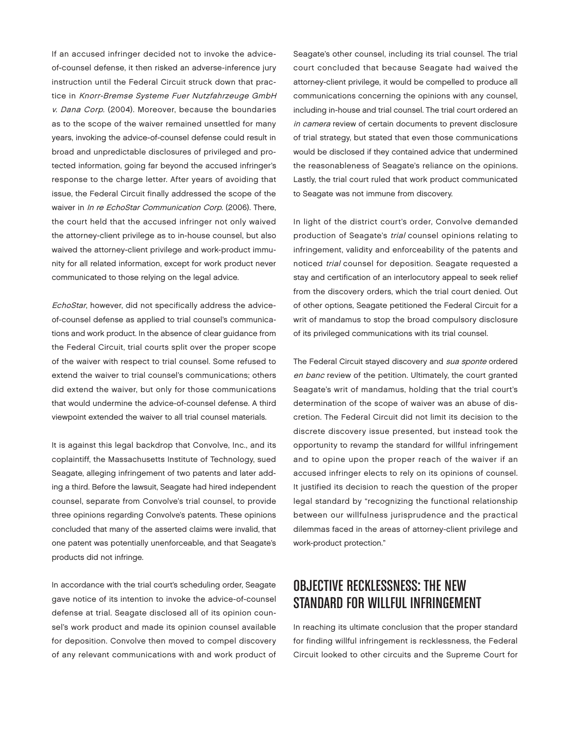If an accused infringer decided not to invoke the adviceof-counsel defense, it then risked an adverse-inference jury instruction until the Federal Circuit struck down that practice in Knorr-Bremse Systeme Fuer Nutzfahrzeuge GmbH v. Dana Corp. (2004). Moreover, because the boundaries as to the scope of the waiver remained unsettled for many years, invoking the advice-of-counsel defense could result in broad and unpredictable disclosures of privileged and protected information, going far beyond the accused infringer's response to the charge letter. After years of avoiding that issue, the Federal Circuit finally addressed the scope of the waiver in In re EchoStar Communication Corp. (2006). There, the court held that the accused infringer not only waived the attorney-client privilege as to in-house counsel, but also waived the attorney-client privilege and work-product immunity for all related information, except for work product never communicated to those relying on the legal advice.

EchoStar, however, did not specifically address the adviceof-counsel defense as applied to trial counsel's communications and work product. In the absence of clear guidance from the Federal Circuit, trial courts split over the proper scope of the waiver with respect to trial counsel. Some refused to extend the waiver to trial counsel's communications; others did extend the waiver, but only for those communications that would undermine the advice-of-counsel defense. A third viewpoint extended the waiver to all trial counsel materials.

It is against this legal backdrop that Convolve, Inc., and its coplaintiff, the Massachusetts Institute of Technology, sued Seagate, alleging infringement of two patents and later adding a third. Before the lawsuit, Seagate had hired independent counsel, separate from Convolve's trial counsel, to provide three opinions regarding Convolve's patents. These opinions concluded that many of the asserted claims were invalid, that one patent was potentially unenforceable, and that Seagate's products did not infringe.

In accordance with the trial court's scheduling order, Seagate gave notice of its intention to invoke the advice-of-counsel defense at trial. Seagate disclosed all of its opinion counsel's work product and made its opinion counsel available for deposition. Convolve then moved to compel discovery of any relevant communications with and work product of

Seagate's other counsel, including its trial counsel. The trial court concluded that because Seagate had waived the attorney-client privilege, it would be compelled to produce all communications concerning the opinions with any counsel, including in-house and trial counsel. The trial court ordered an in camera review of certain documents to prevent disclosure of trial strategy, but stated that even those communications would be disclosed if they contained advice that undermined the reasonableness of Seagate's reliance on the opinions. Lastly, the trial court ruled that work product communicated to Seagate was not immune from discovery.

In light of the district court's order, Convolve demanded production of Seagate's trial counsel opinions relating to infringement, validity and enforceability of the patents and noticed trial counsel for deposition. Seagate requested a stay and certification of an interlocutory appeal to seek relief from the discovery orders, which the trial court denied. Out of other options, Seagate petitioned the Federal Circuit for a writ of mandamus to stop the broad compulsory disclosure of its privileged communications with its trial counsel.

The Federal Circuit stayed discovery and sua sponte ordered en banc review of the petition. Ultimately, the court granted Seagate's writ of mandamus, holding that the trial court's determination of the scope of waiver was an abuse of discretion. The Federal Circuit did not limit its decision to the discrete discovery issue presented, but instead took the opportunity to revamp the standard for willful infringement and to opine upon the proper reach of the waiver if an accused infringer elects to rely on its opinions of counsel. It justified its decision to reach the question of the proper legal standard by "recognizing the functional relationship between our willfulness jurisprudence and the practical dilemmas faced in the areas of attorney-client privilege and work-product protection."

# **OBJECTIVE RECKLESSNESS: THE NEW** standard for Willful Infringement

In reaching its ultimate conclusion that the proper standard for finding willful infringement is recklessness, the Federal Circuit looked to other circuits and the Supreme Court for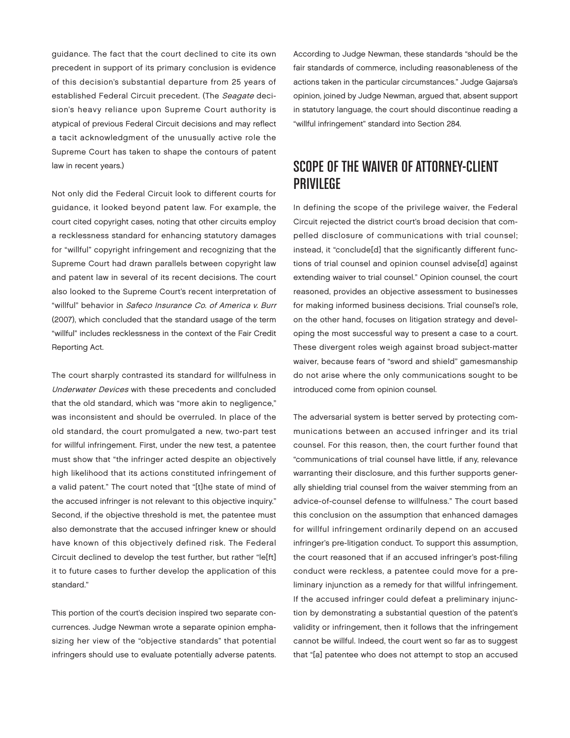guidance. The fact that the court declined to cite its own precedent in support of its primary conclusion is evidence of this decision's substantial departure from 25 years of established Federal Circuit precedent. (The Seagate decision's heavy reliance upon Supreme Court authority is atypical of previous Federal Circuit decisions and may reflect a tacit acknowledgment of the unusually active role the Supreme Court has taken to shape the contours of patent law in recent years.)

Not only did the Federal Circuit look to different courts for guidance, it looked beyond patent law. For example, the court cited copyright cases, noting that other circuits employ a recklessness standard for enhancing statutory damages for "willful" copyright infringement and recognizing that the Supreme Court had drawn parallels between copyright law and patent law in several of its recent decisions. The court also looked to the Supreme Court's recent interpretation of "willful" behavior in Safeco Insurance Co. of America v. Burr (2007), which concluded that the standard usage of the term "willful" includes recklessness in the context of the Fair Credit Reporting Act.

The court sharply contrasted its standard for willfulness in Underwater Devices with these precedents and concluded that the old standard, which was "more akin to negligence," was inconsistent and should be overruled. In place of the old standard, the court promulgated a new, two-part test for willful infringement. First, under the new test, a patentee must show that "the infringer acted despite an objectively high likelihood that its actions constituted infringement of a valid patent." The court noted that "[t]he state of mind of the accused infringer is not relevant to this objective inquiry." Second, if the objective threshold is met, the patentee must also demonstrate that the accused infringer knew or should have known of this objectively defined risk. The Federal Circuit declined to develop the test further, but rather "le[ft] it to future cases to further develop the application of this standard."

This portion of the court's decision inspired two separate concurrences. Judge Newman wrote a separate opinion emphasizing her view of the "objective standards" that potential infringers should use to evaluate potentially adverse patents.

According to Judge Newman, these standards "should be the fair standards of commerce, including reasonableness of the actions taken in the particular circumstances." Judge Gajarsa's opinion, joined by Judge Newman, argued that, absent support in statutory language, the court should discontinue reading a "willful infringement" standard into Section 284.

# Scope of the waiver of Attorney-Client **PRIVILEGE**

In defining the scope of the privilege waiver, the Federal Circuit rejected the district court's broad decision that compelled disclosure of communications with trial counsel; instead, it "conclude[d] that the significantly different functions of trial counsel and opinion counsel advise[d] against extending waiver to trial counsel." Opinion counsel, the court reasoned, provides an objective assessment to businesses for making informed business decisions. Trial counsel's role, on the other hand, focuses on litigation strategy and developing the most successful way to present a case to a court. These divergent roles weigh against broad subject-matter waiver, because fears of "sword and shield" gamesmanship do not arise where the only communications sought to be introduced come from opinion counsel.

The adversarial system is better served by protecting communications between an accused infringer and its trial counsel. For this reason, then, the court further found that "communications of trial counsel have little, if any, relevance warranting their disclosure, and this further supports generally shielding trial counsel from the waiver stemming from an advice-of-counsel defense to willfulness." The court based this conclusion on the assumption that enhanced damages for willful infringement ordinarily depend on an accused infringer's pre-litigation conduct. To support this assumption, the court reasoned that if an accused infringer's post-filing conduct were reckless, a patentee could move for a preliminary injunction as a remedy for that willful infringement. If the accused infringer could defeat a preliminary injunction by demonstrating a substantial question of the patent's validity or infringement, then it follows that the infringement cannot be willful. Indeed, the court went so far as to suggest that "[a] patentee who does not attempt to stop an accused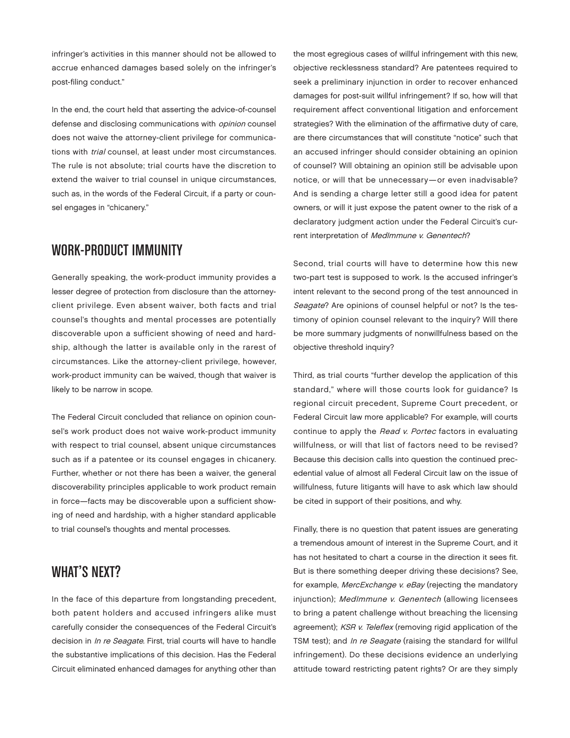infringer's activities in this manner should not be allowed to accrue enhanced damages based solely on the infringer's post-filing conduct."

In the end, the court held that asserting the advice-of-counsel defense and disclosing communications with *opinion* counsel does not waive the attorney-client privilege for communications with trial counsel, at least under most circumstances. The rule is not absolute; trial courts have the discretion to extend the waiver to trial counsel in unique circumstances, such as, in the words of the Federal Circuit, if a party or counsel engages in "chicanery."

#### Work-Product Immunity

Generally speaking, the work-product immunity provides a lesser degree of protection from disclosure than the attorneyclient privilege. Even absent waiver, both facts and trial counsel's thoughts and mental processes are potentially discoverable upon a sufficient showing of need and hardship, although the latter is available only in the rarest of circumstances. Like the attorney-client privilege, however, work-product immunity can be waived, though that waiver is likely to be narrow in scope.

The Federal Circuit concluded that reliance on opinion counsel's work product does not waive work-product immunity with respect to trial counsel, absent unique circumstances such as if a patentee or its counsel engages in chicanery. Further, whether or not there has been a waiver, the general discoverability principles applicable to work product remain in force—facts may be discoverable upon a sufficient showing of need and hardship, with a higher standard applicable to trial counsel's thoughts and mental processes.

# WHAT'S NEXT?

In the face of this departure from longstanding precedent, both patent holders and accused infringers alike must carefully consider the consequences of the Federal Circuit's decision in In re Seagate. First, trial courts will have to handle the substantive implications of this decision. Has the Federal Circuit eliminated enhanced damages for anything other than

the most egregious cases of willful infringement with this new, objective recklessness standard? Are patentees required to seek a preliminary injunction in order to recover enhanced damages for post-suit willful infringement? If so, how will that requirement affect conventional litigation and enforcement strategies? With the elimination of the affirmative duty of care, are there circumstances that will constitute "notice" such that an accused infringer should consider obtaining an opinion of counsel? Will obtaining an opinion still be advisable upon notice, or will that be unnecessary—or even inadvisable? And is sending a charge letter still a good idea for patent owners, or will it just expose the patent owner to the risk of a declaratory judgment action under the Federal Circuit's current interpretation of MedImmune v. Genentech?

Second, trial courts will have to determine how this new two-part test is supposed to work. Is the accused infringer's intent relevant to the second prong of the test announced in Seagate? Are opinions of counsel helpful or not? Is the testimony of opinion counsel relevant to the inquiry? Will there be more summary judgments of nonwillfulness based on the objective threshold inquiry?

Third, as trial courts "further develop the application of this standard," where will those courts look for guidance? Is regional circuit precedent, Supreme Court precedent, or Federal Circuit law more applicable? For example, will courts continue to apply the Read v. Portec factors in evaluating willfulness, or will that list of factors need to be revised? Because this decision calls into question the continued precedential value of almost all Federal Circuit law on the issue of willfulness, future litigants will have to ask which law should be cited in support of their positions, and why.

Finally, there is no question that patent issues are generating a tremendous amount of interest in the Supreme Court, and it has not hesitated to chart a course in the direction it sees fit. But is there something deeper driving these decisions? See, for example, MercExchange v. eBay (rejecting the mandatory injunction); MedImmune v. Genentech (allowing licensees to bring a patent challenge without breaching the licensing agreement); KSR v. Teleflex (removing rigid application of the TSM test); and In re Seagate (raising the standard for willful infringement). Do these decisions evidence an underlying attitude toward restricting patent rights? Or are they simply